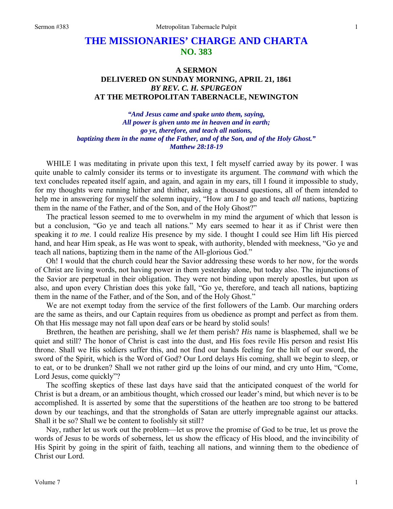## **THE MISSIONARIES' CHARGE AND CHARTA NO. 383**

## **A SERMON DELIVERED ON SUNDAY MORNING, APRIL 21, 1861**  *BY REV. C. H. SPURGEON*  **AT THE METROPOLITAN TABERNACLE, NEWINGTON**

*"And Jesus came and spake unto them, saying, All power is given unto me in heaven and in earth; go ye, therefore, and teach all nations, baptizing them in the name of the Father, and of the Son, and of the Holy Ghost." Matthew 28:18-19* 

WHILE I was meditating in private upon this text, I felt myself carried away by its power. I was quite unable to calmly consider its terms or to investigate its argument. The *command* with which the text concludes repeated itself again, and again, and again in my ears, till I found it impossible to study, for my thoughts were running hither and thither, asking a thousand questions, all of them intended to help me in answering for myself the solemn inquiry, "How am *I* to go and teach *all* nations, baptizing them in the name of the Father, and of the Son, and of the Holy Ghost?"

The practical lesson seemed to me to overwhelm in my mind the argument of which that lesson is but a conclusion, "Go ye and teach all nations." My ears seemed to hear it as if Christ were then speaking it *to me*. I could realize His presence by my side. I thought I could see Him lift His pierced hand, and hear Him speak, as He was wont to speak, with authority, blended with meekness, "Go ye and teach all nations, baptizing them in the name of the All-glorious God."

Oh! I would that the church could hear the Savior addressing these words to her now, for the words of Christ are living words, not having power in them yesterday alone, but today also. The injunctions of the Savior are perpetual in their obligation. They were not binding upon merely apostles, but upon *us*  also, and upon every Christian does this yoke fall, "Go ye, therefore, and teach all nations, baptizing them in the name of the Father, and of the Son, and of the Holy Ghost."

We are not exempt today from the service of the first followers of the Lamb. Our marching orders are the same as theirs, and our Captain requires from us obedience as prompt and perfect as from them. Oh that His message may not fall upon deaf ears or be heard by stolid souls!

Brethren, the heathen are perishing, shall we *let* them perish? *His* name is blasphemed, shall we be quiet and still? The honor of Christ is cast into the dust, and His foes revile His person and resist His throne. Shall we His soldiers suffer this, and not find our hands feeling for the hilt of our sword, the sword of the Spirit, which is the Word of God? Our Lord delays His coming, shall we begin to sleep, or to eat, or to be drunken? Shall we not rather gird up the loins of our mind, and cry unto Him, "Come, Lord Jesus, come quickly"?

The scoffing skeptics of these last days have said that the anticipated conquest of the world for Christ is but a dream, or an ambitious thought, which crossed our leader's mind, but which never is to be accomplished. It is asserted by some that the superstitions of the heathen are too strong to be battered down by our teachings, and that the strongholds of Satan are utterly impregnable against our attacks. Shall it be so? Shall we be content to foolishly sit still?

Nay, rather let us work out the problem—let us prove the promise of God to be true, let us prove the words of Jesus to be words of soberness, let us show the efficacy of His blood, and the invincibility of His Spirit by going in the spirit of faith, teaching all nations, and winning them to the obedience of Christ our Lord.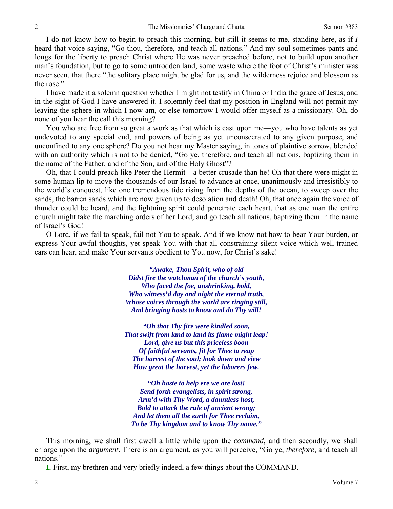I do not know how to begin to preach this morning, but still it seems to me, standing here, as if *I* heard that voice saying, "Go thou, therefore, and teach all nations." And my soul sometimes pants and longs for the liberty to preach Christ where He was never preached before, not to build upon another man's foundation, but to go to some untrodden land, some waste where the foot of Christ's minister was never seen, that there "the solitary place might be glad for us, and the wilderness rejoice and blossom as the rose."

I have made it a solemn question whether I might not testify in China or India the grace of Jesus, and in the sight of God I have answered it. I solemnly feel that my position in England will not permit my leaving the sphere in which I now am, or else tomorrow I would offer myself as a missionary. Oh, do none of you hear the call this morning?

You who are free from so great a work as that which is cast upon me—you who have talents as yet undevoted to any special end, and powers of being as yet unconsecrated to any given purpose, and unconfined to any one sphere? Do you not hear my Master saying, in tones of plaintive sorrow, blended with an authority which is not to be denied, "Go ye, therefore, and teach all nations, baptizing them in the name of the Father, and of the Son, and of the Holy Ghost"?

Oh, that I could preach like Peter the Hermit—a better crusade than he! Oh that there were might in some human lip to move the thousands of our Israel to advance at once, unanimously and irresistibly to the world's conquest, like one tremendous tide rising from the depths of the ocean, to sweep over the sands, the barren sands which are now given up to desolation and death! Oh, that once again the voice of thunder could be heard, and the lightning spirit could penetrate each heart, that as one man the entire church might take the marching orders of her Lord, and go teach all nations, baptizing them in the name of Israel's God!

O Lord, if *we* fail to speak, fail not You to speak. And if we know not how to bear Your burden, or express Your awful thoughts, yet speak You with that all-constraining silent voice which well-trained ears can hear, and make Your servants obedient to You now, for Christ's sake!

> *"Awake, Thou Spirit, who of old Didst fire the watchman of the church's youth, Who faced the foe, unshrinking, bold, Who witness'd day and night the eternal truth, Whose voices through the world are ringing still, And bringing hosts to know and do Thy will!*

*"Oh that Thy fire were kindled soon, That swift from land to land its flame might leap! Lord, give us but this priceless boon Of faithful servants, fit for Thee to reap The harvest of the soul; look down and view How great the harvest, yet the laborers few.* 

*"Oh haste to help ere we are lost! Send forth evangelists, in spirit strong, Arm'd with Thy Word, a dauntless host, Bold to attack the rule of ancient wrong; And let them all the earth for Thee reclaim, To be Thy kingdom and to know Thy name."* 

This morning, we shall first dwell a little while upon the *command*, and then secondly, we shall enlarge upon the *argument*. There is an argument, as you will perceive, "Go ye, *therefore*, and teach all nations."

**I.** First, my brethren and very briefly indeed, a few things about the COMMAND.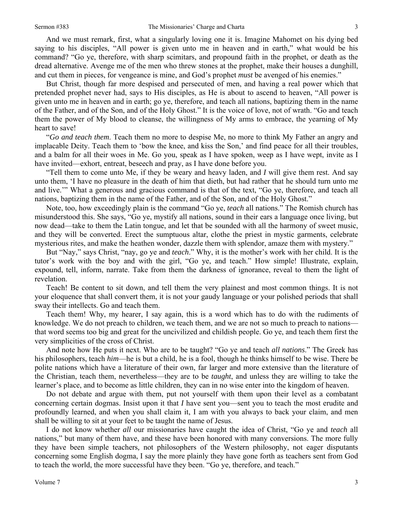And we must remark, first, what a singularly loving one it is. Imagine Mahomet on his dying bed saying to his disciples, "All power is given unto me in heaven and in earth," what would be his command? "Go ye, therefore, with sharp scimitars, and propound faith in the prophet, or death as the dread alternative. Avenge me of the men who threw stones at the prophet, make their houses a dunghill, and cut them in pieces, for vengeance is mine, and God's prophet *must* be avenged of his enemies."

But Christ, though far more despised and persecuted of men, and having a real power which that pretended prophet never had, says to His disciples, as He is about to ascend to heaven, "All power is given unto me in heaven and in earth; go ye, therefore, and teach all nations, baptizing them in the name of the Father, and of the Son, and of the Holy Ghost." It is the voice of love, not of wrath. "Go and teach them the power of My blood to cleanse, the willingness of My arms to embrace, the yearning of My heart to save!

"*Go and teach them*. Teach them no more to despise Me, no more to think My Father an angry and implacable Deity. Teach them to 'bow the knee, and kiss the Son,' and find peace for all their troubles, and a balm for all their woes in Me. Go you, speak as I have spoken, weep as I have wept, invite as I have invited—exhort, entreat, beseech and pray, as I have done before you.

"Tell them to come unto Me, if they be weary and heavy laden, and *I* will give them rest. And say unto them, 'I have no pleasure in the death of him that dieth, but had rather that he should turn unto me and live.'" What a generous and gracious command is that of the text, "Go ye, therefore, and teach all nations, baptizing them in the name of the Father, and of the Son, and of the Holy Ghost."

Note, too, how exceedingly plain is the command "Go ye, *teach* all nations." The Romish church has misunderstood this. She says, "Go ye, mystify all nations, sound in their ears a language once living, but now dead—take to them the Latin tongue, and let that be sounded with all the harmony of sweet music, and they will be converted. Erect the sumptuous altar, clothe the priest in mystic garments, celebrate mysterious rites, and make the heathen wonder, dazzle them with splendor, amaze them with mystery."

But "Nay," says Christ, "nay, go ye and *teach*." Why, it is the mother's work with her child. It is the tutor's work with the boy and with the girl, "Go ye, and teach." How simple! Illustrate, explain, expound, tell, inform, narrate. Take from them the darkness of ignorance, reveal to them the light of revelation.

Teach! Be content to sit down, and tell them the very plainest and most common things. It is not your eloquence that shall convert them, it is not your gaudy language or your polished periods that shall sway their intellects. Go and teach them.

Teach them! Why, my hearer, I say again, this is a word which has to do with the rudiments of knowledge. We do not preach to children, we teach them, and we are not so much to preach to nations that word seems too big and great for the uncivilized and childish people. Go ye, and teach them first the very simplicities of the cross of Christ.

And note how He puts it next. Who are to be taught? "Go ye and teach *all nations*." The Greek has his philosophers, teach *him*—he is but a child, he is a fool, though he thinks himself to be wise. There be polite nations which have a literature of their own, far larger and more extensive than the literature of the Christian, teach them, nevertheless—they are to be *taught*, and unless they are willing to take the learner's place, and to become as little children, they can in no wise enter into the kingdom of heaven.

Do not debate and argue with them, put not yourself with them upon their level as a combatant concerning certain dogmas. Insist upon it that *I* have sent you—sent you to teach the most erudite and profoundly learned, and when you shall claim it, I am with you always to back your claim, and men shall be willing to sit at your feet to be taught the name of Jesus.

I do not know whether *all* our missionaries have caught the idea of Christ, "Go ye and *teach* all nations," but many of them have, and these have been honored with many conversions. The more fully they have been simple teachers*,* not philosophers of the Western philosophy, not eager disputants concerning some English dogma, I say the more plainly they have gone forth as teachers sent from God to teach the world, the more successful have they been. "Go ye, therefore, and teach."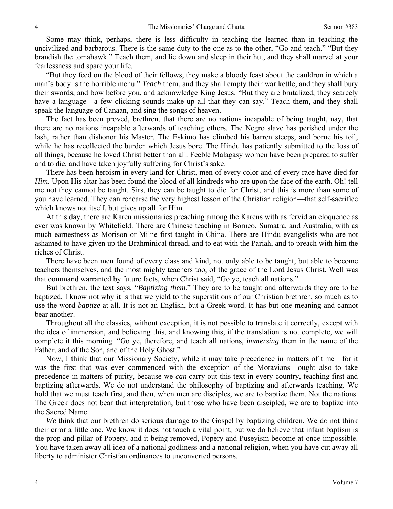Some may think, perhaps, there is less difficulty in teaching the learned than in teaching the uncivilized and barbarous. There is the same duty to the one as to the other, "Go and teach." "But they brandish the tomahawk." Teach them, and lie down and sleep in their hut, and they shall marvel at your fearlessness and spare your life.

"But they feed on the blood of their fellows, they make a bloody feast about the cauldron in which a man's body is the horrible menu." *Teach* them, and they shall empty their war kettle, and they shall bury their swords, and bow before you, and acknowledge King Jesus. "But they are brutalized, they scarcely have a language—a few clicking sounds make up all that they can say." Teach them, and they shall speak the language of Canaan, and sing the songs of heaven.

The fact has been proved, brethren, that there are no nations incapable of being taught, nay, that there are no nations incapable afterwards of teaching others. The Negro slave has perished under the lash, rather than dishonor his Master. The Eskimo has climbed his barren steeps, and borne his toil, while he has recollected the burden which Jesus bore. The Hindu has patiently submitted to the loss of all things, because he loved Christ better than all. Feeble Malagasy women have been prepared to suffer and to die, and have taken joyfully suffering for Christ's sake.

There has been heroism in every land for Christ, men of every color and of every race have died for *Him*. Upon His altar has been found the blood of all kindreds who are upon the face of the earth. Oh! tell me not they cannot be taught. Sirs, they can be taught to die for Christ, and this is more than some of you have learned. They can rehearse the very highest lesson of the Christian religion—that self-sacrifice which knows not itself, but gives up all for Him.

At this day, there are Karen missionaries preaching among the Karens with as fervid an eloquence as ever was known by Whitefield. There are Chinese teaching in Borneo, Sumatra, and Australia, with as much earnestness as Morison or Milne first taught in China. There are Hindu evangelists who are not ashamed to have given up the Brahminical thread, and to eat with the Pariah, and to preach with him the riches of Christ.

There have been men found of every class and kind, not only able to be taught, but able to become teachers themselves, and the most mighty teachers too, of the grace of the Lord Jesus Christ. Well was that command warranted by future facts, when Christ said, "Go ye, teach all nations."

But brethren, the text says, "*Baptizing them*." They are to be taught and afterwards they are to be baptized. I know not why it is that we yield to the superstitions of our Christian brethren, so much as to use the word *baptize* at all. It is not an English, but a Greek word. It has but one meaning and cannot bear another.

Throughout all the classics, without exception, it is not possible to translate it correctly, except with the idea of immersion, and believing this, and knowing this, if the translation is not complete, we will complete it this morning. "Go ye, therefore, and teach all nations, *immersing* them in the name of the Father, and of the Son, and of the Holy Ghost."

Now, I think that our Missionary Society, while it may take precedence in matters of time—for it was the first that was ever commenced with the exception of the Moravians—ought also to take precedence in matters of purity, because we *can* carry out this text in every country, teaching first and baptizing afterwards. We do not understand the philosophy of baptizing and afterwards teaching. We hold that we must teach first, and then, when men are disciples, we are to baptize them. Not the nations. The Greek does not bear that interpretation, but those who have been discipled, we are to baptize into the Sacred Name.

*We* think that our brethren do serious damage to the Gospel by baptizing children. We do not think their error a little one. We know it does not touch a vital point, but we do believe that infant baptism is the prop and pillar of Popery, and it being removed, Popery and Puseyism become at once impossible. You have taken away all idea of a national godliness and a national religion, when you have cut away all liberty to administer Christian ordinances to unconverted persons.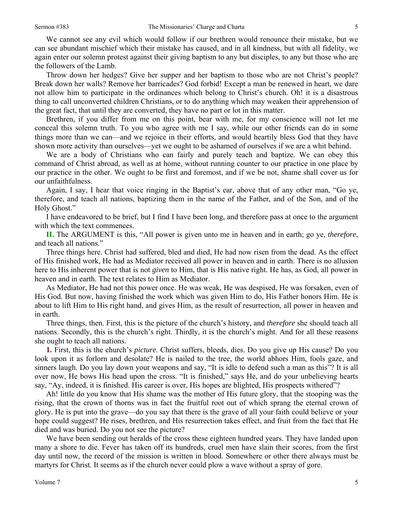We cannot see any evil which would follow if our brethren would renounce their mistake, but we can see abundant mischief which their mistake has caused, and in all kindness, but with all fidelity, we again enter our solemn protest against their giving baptism to any but disciples, to any but those who are the followers of the Lamb.

Throw down her hedges? Give her supper and her baptism to those who are not Christ's people? Break down her walls? Remove her barricades? God forbid! Except a man be renewed in heart, we dare not allow him to participate in the ordinances which belong to Christ's church. Oh! it is a disastrous thing to call unconverted children Christians, or to do anything which may weaken their apprehension of the great fact, that until they are converted, they have no part or lot in this matter.

Brethren, if you differ from me on this point, bear with me, for my conscience will not let me conceal this solemn truth. To you who agree with me I say, while our other friends can do in some things more than we can—and we rejoice in their efforts, and would heartily bless God that they have shown more activity than ourselves—yet we ought to be ashamed of ourselves if we are a whit behind.

We are a body of Christians who can fairly and purely teach and baptize. We can obey this command of Christ abroad, as well as at home, without running counter to our practice in one place by our practice in the other. We ought to be first and foremost, and if we be not, shame shall cover us for our unfaithfulness.

Again, I say, I hear that voice ringing in the Baptist's ear, above that of any other man, "Go ye, therefore, and teach all nations, baptizing them in the name of the Father, and of the Son, and of the Holy Ghost."

I have endeavored to be brief, but I find I have been long, and therefore pass at once to the argument with which the text commences.

**II.** The ARGUMENT is this, "All power is given unto me in heaven and in earth; go ye, *therefore*, and teach all nations."

Three things here. Christ had suffered, bled and died, He had now risen from the dead. As the effect of His finished work, He had as Mediator received all power in heaven and in earth. There is no allusion here to His inherent power that is not *given* to Him, that is His native right. He has, as God, all power in heaven and in earth. The text relates to Him as Mediator.

As Mediator, He had not this power once. He was weak, He was despised, He was forsaken, even of His God. But now, having finished the work which was given Him to do, His Father honors Him. He is about to lift Him to His right hand, and gives Him, as the result of resurrection, all power in heaven and in earth.

Three things, then. First, this is the picture of the church's history, and *therefore* she should teach all nations. Secondly, this is the church's right. Thirdly, it is the church's might. And for all these reasons she ought to teach all nations.

**1.** First, this is the church's *picture*. Christ suffers, bleeds, dies. Do you give up His cause? Do you look upon it as forlorn and desolate? He is nailed to the tree, the world abhors Him, fools gaze, and sinners laugh. Do you lay down your weapons and say, "It is idle to defend such a man as this"? It is all over now, He bows His head upon the cross. "It is finished," says He, and do your unbelieving hearts say, "Ay, indeed, it is finished. His career is over, His hopes are blighted, His prospects withered"?

Ah! little do you know that His shame was the mother of His future glory, that the stooping was the rising, that the crown of thorns was in fact the fruitful root out of which sprang the eternal crown of glory. He is put into the grave—do you say that there is the grave of all your faith could believe or your hope could suggest? He rises, brethren, and His resurrection takes effect, and fruit from the fact that He died and was buried. Do you not see the picture?

We have been sending out heralds of the cross these eighteen hundred years. They have landed upon many a shore to die. Fever has taken off its hundreds, cruel men have slain their scores, from the first day until now, the record of the mission is written in blood. Somewhere or other there always must be martyrs for Christ. It seems as if the church never could plow a wave without a spray of gore.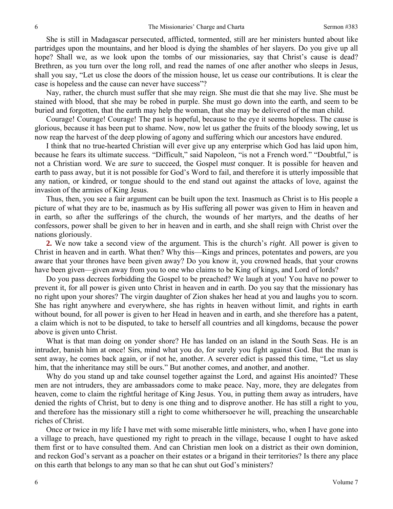She is still in Madagascar persecuted, afflicted, tormented, still are her ministers hunted about like partridges upon the mountains, and her blood is dying the shambles of her slayers. Do you give up all hope? Shall we, as we look upon the tombs of our missionaries, say that Christ's cause is dead? Brethren, as you turn over the long roll, and read the names of one after another who sleeps in Jesus, shall you say, "Let us close the doors of the mission house, let us cease our contributions. It is clear the case is hopeless and the cause can never have success"?

Nay, rather, the church must suffer that she may reign. She must die that she may live. She must be stained with blood, that she may be robed in purple. She must go down into the earth, and seem to be buried and forgotten, that the earth may help the woman, that she may be delivered of the man child.

Courage! Courage! Courage! The past is hopeful, because to the eye it seems hopeless. The cause is glorious, because it has been put to shame. Now, now let us gather the fruits of the bloody sowing, let us now reap the harvest of the deep plowing of agony and suffering which our ancestors have endured.

I think that no true-hearted Christian will ever give up any enterprise which God has laid upon him, because he fears its ultimate success. "Difficult," said Napoleon, "is not a French word." "Doubtful," is not a Christian word. We are *sure* to succeed, the Gospel *must* conquer. It is possible for heaven and earth to pass away, but it is not possible for God's Word to fail, and therefore it is utterly impossible that any nation, or kindred, or tongue should to the end stand out against the attacks of love, against the invasion of the armies of King Jesus.

Thus, then, you see a fair argument can be built upon the text. Inasmuch as Christ is to His people a picture of what they are to be, inasmuch as by His suffering all power was given to Him in heaven and in earth, so after the sufferings of the church, the wounds of her martyrs, and the deaths of her confessors, power shall be given to her in heaven and in earth, and she shall reign with Christ over the nations gloriously.

**2.** We now take a second view of the argument. This is the church's *right*. All power is given to Christ in heaven and in earth. What then? Why this—Kings and princes, potentates and powers, are you aware that your thrones have been given away? Do you know it, you crowned heads, that your crowns have been given—given away from you to one who claims to be King of kings, and Lord of lords?

Do you pass decrees forbidding the Gospel to be preached? We laugh at you! You have no power to prevent it, for all power is given unto Christ in heaven and in earth. Do you say that the missionary has no right upon your shores? The virgin daughter of Zion shakes her head at you and laughs you to scorn. She has right anywhere and everywhere, she has rights in heaven without limit, and rights in earth without bound, for all power is given to her Head in heaven and in earth, and she therefore has a patent, a claim which is not to be disputed, to take to herself all countries and all kingdoms, because the power above is given unto Christ.

What is that man doing on yonder shore? He has landed on an island in the South Seas. He is an intruder, banish him at once! Sirs, mind what you do, for surely you fight against God. But the man is sent away, he comes back again, or if not he, another. A severer edict is passed this time, "Let us slay him, that the inheritance may still be ours." But another comes, and another, and another.

Why do you stand up and take counsel together against the Lord, and against His anointed? These men are not intruders, they are ambassadors come to make peace. Nay, more, they are delegates from heaven, come to claim the rightful heritage of King Jesus. You, in putting them away as intruders, have denied the rights of Christ, but to deny is one thing and to disprove another. He has still a right to you, and therefore has the missionary still a right to come whithersoever he will, preaching the unsearchable riches of Christ.

Once or twice in my life I have met with some miserable little ministers, who, when I have gone into a village to preach, have questioned my right to preach in the village, because I ought to have asked them first or to have consulted them. And can Christian men look on a district as their own dominion, and reckon God's servant as a poacher on their estates or a brigand in their territories? Is there any place on this earth that belongs to any man so that he can shut out God's ministers?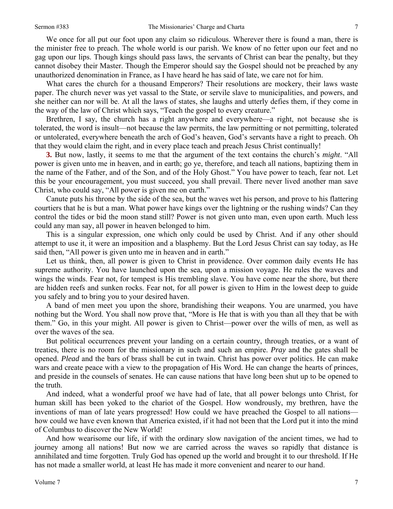We once for all put our foot upon any claim so ridiculous. Wherever there is found a man, there is the minister free to preach. The whole world is our parish. We know of no fetter upon our feet and no gag upon our lips. Though kings should pass laws, the servants of Christ can bear the penalty, but they cannot disobey their Master. Though the Emperor should say the Gospel should not be preached by any unauthorized denomination in France, as I have heard he has said of late, we care not for him.

What cares the church for a thousand Emperors? Their resolutions are mockery, their laws waste paper. The church never was yet vassal to the State, or servile slave to municipalities, and powers, and she neither can nor will be. At all the laws of states, she laughs and utterly defies them, if they come in the way of the law of Christ which says, "Teach the gospel to every creature."

Brethren, I say, the church has a right anywhere and everywhere—a right, not because she is tolerated, the word is insult—not because the law permits, the law permitting or not permitting, tolerated or untolerated, everywhere beneath the arch of God's heaven, God's servants have a right to preach. Oh that they would claim the right, and in every place teach and preach Jesus Christ continually!

**3.** But now, lastly, it seems to me that the argument of the text contains the church's *might*. "All power is given unto me in heaven, and in earth; go ye, therefore, and teach all nations, baptizing them in the name of the Father, and of the Son, and of the Holy Ghost." You have power to teach, fear not. Let this be your encouragement, you must succeed, you shall prevail. There never lived another man save Christ, who could say, "All power is given me on earth."

Canute puts his throne by the side of the sea, but the waves wet his person, and prove to his flattering courtiers that he is but a man. What power have kings over the lightning or the rushing winds? Can they control the tides or bid the moon stand still? Power is not given unto man, even upon earth. Much less could any man say, all power in heaven belonged to him.

This is a singular expression, one which only could be used by Christ. And if any other should attempt to use it, it were an imposition and a blasphemy. But the Lord Jesus Christ can say today, as He said then, "All power is given unto me in heaven and in earth."

Let us think, then, all power is given to Christ in providence. Over common daily events He has supreme authority. You have launched upon the sea, upon a mission voyage. He rules the waves and wings the winds. Fear not, for tempest is His trembling slave. You have come near the shore, but there are hidden reefs and sunken rocks. Fear not, for all power is given to Him in the lowest deep to guide you safely and to bring you to your desired haven.

A band of men meet you upon the shore, brandishing their weapons. You are unarmed, you have nothing but the Word. You shall now prove that, "More is He that is with you than all they that be with them." Go, in this your might. All power is given to Christ—power over the wills of men, as well as over the waves of the sea.

But political occurrences prevent your landing on a certain country, through treaties, or a want of treaties, there is no room for the missionary in such and such an empire. *Pray* and the gates shall be opened. *Plead* and the bars of brass shall be cut in twain. Christ has power over politics. He can make wars and create peace with a view to the propagation of His Word. He can change the hearts of princes, and preside in the counsels of senates. He can cause nations that have long been shut up to be opened to the truth.

And indeed, what a wonderful proof we have had of late, that all power belongs unto Christ, for human skill has been yoked to the chariot of the Gospel. How wondrously, my brethren, have the inventions of man of late years progressed! How could we have preached the Gospel to all nations how could we have even known that America existed, if it had not been that the Lord put it into the mind of Columbus to discover the New World!

And how wearisome our life, if with the ordinary slow navigation of the ancient times, we had to journey among all nations! But now we are carried across the waves so rapidly that distance is annihilated and time forgotten. Truly God has opened up the world and brought it to our threshold. If He has not made a smaller world, at least He has made it more convenient and nearer to our hand.

7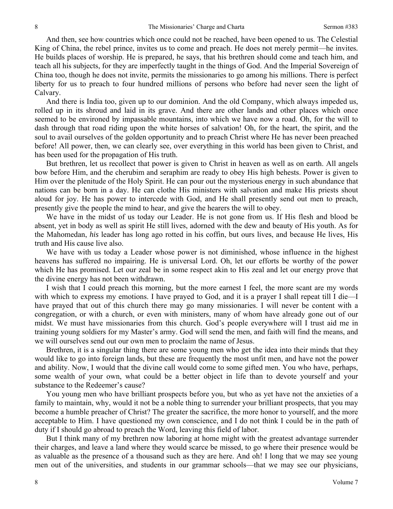And then, see how countries which once could not be reached, have been opened to us. The Celestial King of China, the rebel prince, invites us to come and preach. He does not merely permit—he invites*.*  He builds places of worship. He is prepared, he says, that his brethren should come and teach him, and teach all his subjects, for they are imperfectly taught in the things of God. And the Imperial Sovereign of China too, though he does not invite, permits the missionaries to go among his millions. There is perfect liberty for us to preach to four hundred millions of persons who before had never seen the light of Calvary.

And there is India too, given up to our dominion. And the old Company, which always impeded us, rolled up in its shroud and laid in its grave. And there are other lands and other places which once seemed to be environed by impassable mountains, into which we have now a road. Oh, for the will to dash through that road riding upon the white horses of salvation! Oh, for the heart, the spirit, and the soul to avail ourselves of the golden opportunity and to preach Christ where He has never been preached before! All power, then, we can clearly see, over everything in this world has been given to Christ, and has been used for the propagation of His truth.

But brethren, let us recollect that power is given to Christ in heaven as well as on earth. All angels bow before Him, and the cherubim and seraphim are ready to obey His high behests. Power is given to Him over the plenitude of the Holy Spirit. He can pour out the mysterious energy in such abundance that nations can be born in a day. He can clothe His ministers with salvation and make His priests shout aloud for joy. He has power to intercede with God, and He shall presently send out men to preach, presently give the people the mind to hear, and give the hearers the will to obey.

We have in the midst of us today our Leader. He is not gone from us. If His flesh and blood be absent, yet in body as well as spirit He still lives, adorned with the dew and beauty of His youth. As for the Mahomedan, *his* leader has long ago rotted in his coffin, but ours lives, and because He lives, His truth and His cause live also.

We have with us today a Leader whose power is not diminished, whose influence in the highest heavens has suffered no impairing. He is universal Lord. Oh, let our efforts be worthy of the power which He has promised. Let our zeal be in some respect akin to His zeal and let our energy prove that the divine energy has not been withdrawn.

I wish that I could preach this morning, but the more earnest I feel, the more scant are my words with which to express my emotions. I have prayed to God, and it is a prayer I shall repeat till I die—I have prayed that out of this church there may go many missionaries. I will never be content with a congregation, or with a church, or even with ministers, many of whom have already gone out of our midst. We must have missionaries from this church. God's people everywhere will I trust aid me in training young soldiers for my Master's army. God will send the men, and faith will find the means, and we will ourselves send out our own men to proclaim the name of Jesus.

Brethren, it is a singular thing there are some young men who get the idea into their minds that they would like to go into foreign lands, but these are frequently the most unfit men, and have not the power and ability. Now, I would that the divine call would come to some gifted men. You who have, perhaps, some wealth of your own, what could be a better object in life than to devote yourself and your substance to the Redeemer's cause?

You young men who have brilliant prospects before you, but who as yet have not the anxieties of a family to maintain, why, would it not be a noble thing to surrender your brilliant prospects, that you may become a humble preacher of Christ? The greater the sacrifice, the more honor to yourself, and the more acceptable to Him. I have questioned my own conscience, and I do not think I could be in the path of duty if I should go abroad to preach the Word, leaving this field of labor.

But I think many of my brethren now laboring at home might with the greatest advantage surrender their charges, and leave a land where they would scarce be missed, to go where their presence would be as valuable as the presence of a thousand such as they are here. And oh! I long that we may see young men out of the universities, and students in our grammar schools—that we may see our physicians,